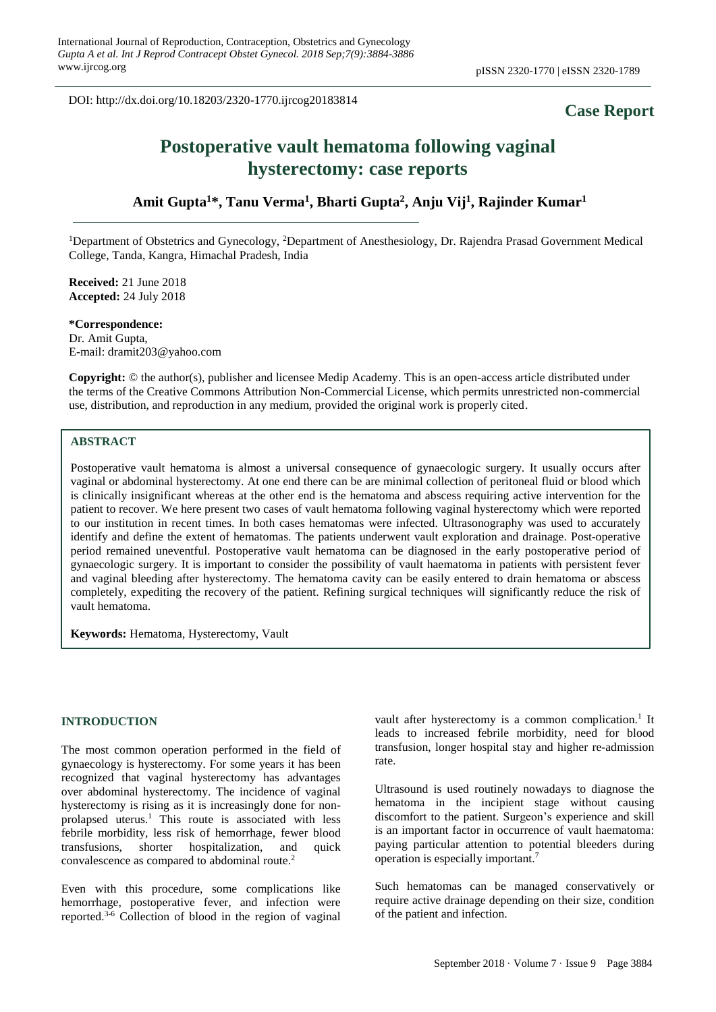DOI: http://dx.doi.org/10.18203/2320-1770.ijrcog20183814

## **Case Report**

# **Postoperative vault hematoma following vaginal hysterectomy: case reports**

**Amit Gupta<sup>1</sup>\*, Tanu Verma<sup>1</sup> , Bharti Gupta<sup>2</sup> , Anju Vij<sup>1</sup> , Rajinder Kumar<sup>1</sup>**

<sup>1</sup>Department of Obstetrics and Gynecology, <sup>2</sup>Department of Anesthesiology, Dr. Rajendra Prasad Government Medical College, Tanda, Kangra, Himachal Pradesh, India

**Received:** 21 June 2018 **Accepted:** 24 July 2018

**\*Correspondence:** Dr. Amit Gupta, E-mail: dramit203@yahoo.com

**Copyright:** © the author(s), publisher and licensee Medip Academy. This is an open-access article distributed under the terms of the Creative Commons Attribution Non-Commercial License, which permits unrestricted non-commercial use, distribution, and reproduction in any medium, provided the original work is properly cited.

### **ABSTRACT**

Postoperative vault hematoma is almost a universal consequence of gynaecologic surgery. It usually occurs after vaginal or abdominal hysterectomy. At one end there can be are minimal collection of peritoneal fluid or blood which is clinically insignificant whereas at the other end is the hematoma and abscess requiring active intervention for the patient to recover. We here present two cases of vault hematoma following vaginal hysterectomy which were reported to our institution in recent times. In both cases hematomas were infected. Ultrasonography was used to accurately identify and define the extent of hematomas. The patients underwent vault exploration and drainage. Post-operative period remained uneventful. Postoperative vault hematoma can be diagnosed in the early postoperative period of gynaecologic surgery. It is important to consider the possibility of vault haematoma in patients with persistent fever and vaginal bleeding after hysterectomy. The hematoma cavity can be easily entered to drain hematoma or abscess completely, expediting the recovery of the patient. Refining surgical techniques will significantly reduce the risk of vault hematoma.

**Keywords:** Hematoma, Hysterectomy, Vault

#### **INTRODUCTION**

The most common operation performed in the field of gynaecology is hysterectomy. For some years it has been recognized that vaginal hysterectomy has advantages over abdominal hysterectomy. The incidence of vaginal hysterectomy is rising as it is increasingly done for nonprolapsed uterus.<sup>1</sup> This route is associated with less febrile morbidity, less risk of hemorrhage, fewer blood transfusions, shorter hospitalization, and quick convalescence as compared to abdominal route.<sup>2</sup>

Even with this procedure, some complications like hemorrhage, postoperative fever, and infection were reported.3-6 Collection of blood in the region of vaginal

vault after hysterectomy is a common complication.<sup>1</sup> It leads to increased febrile morbidity, need for blood transfusion, longer hospital stay and higher re-admission rate.

Ultrasound is used routinely nowadays to diagnose the hematoma in the incipient stage without causing discomfort to the patient. Surgeon's experience and skill is an important factor in occurrence of vault haematoma: paying particular attention to potential bleeders during operation is especially important.<sup>7</sup>

Such hematomas can be managed conservatively or require active drainage depending on their size, condition of the patient and infection.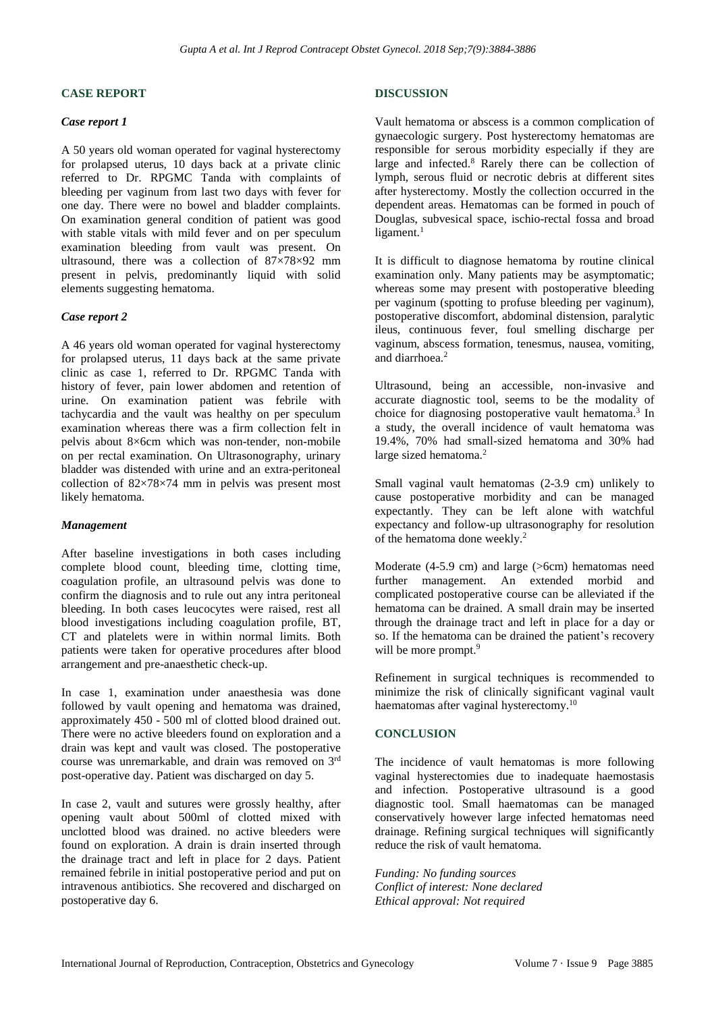#### **CASE REPORT**

#### *Case report 1*

A 50 years old woman operated for vaginal hysterectomy for prolapsed uterus, 10 days back at a private clinic referred to Dr. RPGMC Tanda with complaints of bleeding per vaginum from last two days with fever for one day. There were no bowel and bladder complaints. On examination general condition of patient was good with stable vitals with mild fever and on per speculum examination bleeding from vault was present. On ultrasound, there was a collection of  $87\times78\times92$  mm present in pelvis, predominantly liquid with solid elements suggesting hematoma.

#### *Case report 2*

A 46 years old woman operated for vaginal hysterectomy for prolapsed uterus, 11 days back at the same private clinic as case 1, referred to Dr. RPGMC Tanda with history of fever, pain lower abdomen and retention of urine. On examination patient was febrile with tachycardia and the vault was healthy on per speculum examination whereas there was a firm collection felt in pelvis about 8×6cm which was non-tender, non-mobile on per rectal examination. On Ultrasonography, urinary bladder was distended with urine and an extra-peritoneal collection of  $82\times78\times74$  mm in pelvis was present most likely hematoma.

#### *Management*

After baseline investigations in both cases including complete blood count, bleeding time, clotting time, coagulation profile, an ultrasound pelvis was done to confirm the diagnosis and to rule out any intra peritoneal bleeding. In both cases leucocytes were raised, rest all blood investigations including coagulation profile, BT, CT and platelets were in within normal limits. Both patients were taken for operative procedures after blood arrangement and pre-anaesthetic check-up.

In case 1, examination under anaesthesia was done followed by vault opening and hematoma was drained, approximately 450 - 500 ml of clotted blood drained out. There were no active bleeders found on exploration and a drain was kept and vault was closed. The postoperative course was unremarkable, and drain was removed on 3rd post-operative day. Patient was discharged on day 5.

In case 2, vault and sutures were grossly healthy, after opening vault about 500ml of clotted mixed with unclotted blood was drained. no active bleeders were found on exploration. A drain is drain inserted through the drainage tract and left in place for 2 days. Patient remained febrile in initial postoperative period and put on intravenous antibiotics. She recovered and discharged on postoperative day 6.

#### **DISCUSSION**

Vault hematoma or abscess is a common complication of gynaecologic surgery. Post hysterectomy hematomas are responsible for serous morbidity especially if they are large and infected.<sup>8</sup> Rarely there can be collection of lymph, serous fluid or necrotic debris at different sites after hysterectomy. Mostly the collection occurred in the dependent areas. Hematomas can be formed in pouch of Douglas, subvesical space, ischio-rectal fossa and broad ligament. $1$ 

It is difficult to diagnose hematoma by routine clinical examination only. Many patients may be asymptomatic; whereas some may present with postoperative bleeding per vaginum (spotting to profuse bleeding per vaginum), postoperative discomfort, abdominal distension, paralytic ileus, continuous fever, foul smelling discharge per vaginum, abscess formation, tenesmus, nausea, vomiting, and diarrhoea.<sup>2</sup>

Ultrasound, being an accessible, non-invasive and accurate diagnostic tool, seems to be the modality of choice for diagnosing postoperative vault hematoma.<sup>3</sup> In a study, the overall incidence of vault hematoma was 19.4%, 70% had small-sized hematoma and 30% had large sized hematoma.<sup>2</sup>

Small vaginal vault hematomas (2-3.9 cm) unlikely to cause postoperative morbidity and can be managed expectantly. They can be left alone with watchful expectancy and follow-up ultrasonography for resolution of the hematoma done weekly.<sup>2</sup>

Moderate (4-5.9 cm) and large (>6cm) hematomas need further management. An extended morbid and complicated postoperative course can be alleviated if the hematoma can be drained. A small drain may be inserted through the drainage tract and left in place for a day or so. If the hematoma can be drained the patient's recovery will be more prompt.<sup>9</sup>

Refinement in surgical techniques is recommended to minimize the risk of clinically significant vaginal vault haematomas after vaginal hysterectomy.<sup>10</sup>

#### **CONCLUSION**

The incidence of vault hematomas is more following vaginal hysterectomies due to inadequate haemostasis and infection. Postoperative ultrasound is a good diagnostic tool. Small haematomas can be managed conservatively however large infected hematomas need drainage. Refining surgical techniques will significantly reduce the risk of vault hematoma.

*Funding: No funding sources Conflict of interest: None declared Ethical approval: Not required*